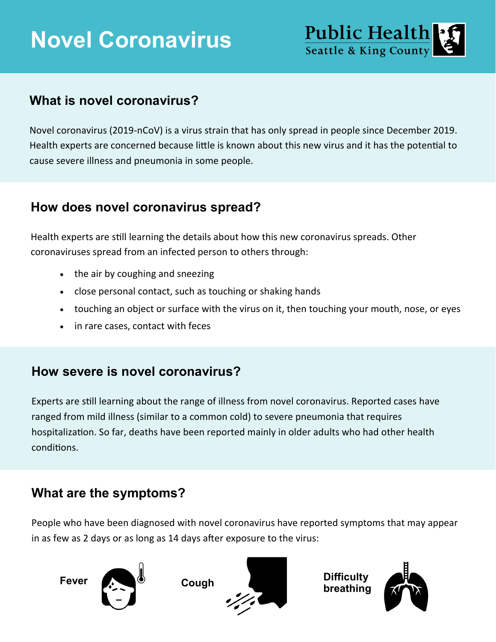# **Novel Coronavirus**



## **What is novel coronavirus?**

Novel coronavirus (2019-nCoV) is a virus strain that has only spread in people since December 2019. Health experts are concerned because little is known about this new virus and it has the potential to cause severe illness and pneumonia in some people.

#### **How does novel coronavirus spread?**

Health experts are still learning the details about how this new coronavirus spreads. Other coronaviruses spread from an infected person to others through:

- the air by coughing and sneezing
- close personal contact, such as touching or shaking hands
- touching an object or surface with the virus on it, then touching your mouth, nose, or eyes
- in rare cases, contact with feces

## **How severe is novel coronavirus?**

Experts are still learning about the range of illness from novel coronavirus. Reported cases have ranged from mild illness (similar to a common cold) to severe pneumonia that requires hospitalization. So far, deaths have been reported mainly in older adults who had other health conditions.

## **What are the symptoms?**

People who have been diagnosed with novel coronavirus have reported symptoms that may appear in as few as 2 days or as long as 14 days after exposure to the virus:





**breathing**